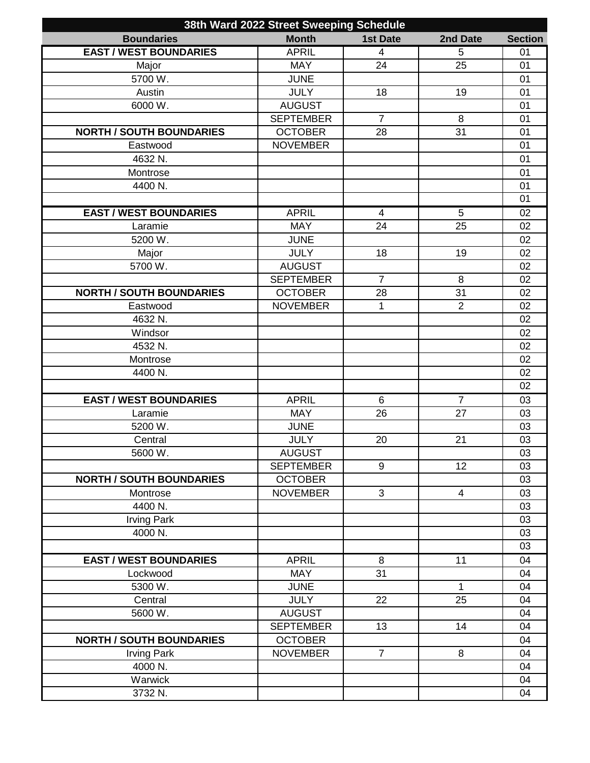| 38th Ward 2022 Street Sweeping Schedule |                  |                 |                      |                 |
|-----------------------------------------|------------------|-----------------|----------------------|-----------------|
| <b>Boundaries</b>                       | <b>Month</b>     | <b>1st Date</b> | 2nd Date             | <b>Section</b>  |
| <b>EAST / WEST BOUNDARIES</b>           | <b>APRIL</b>     | $\overline{4}$  | 5                    | 01              |
| Major                                   | <b>MAY</b>       | 24              | 25                   | 01              |
| 5700 W.                                 | <b>JUNE</b>      |                 |                      | 01              |
| Austin                                  | <b>JULY</b>      | 18              | 19                   | 01              |
| 6000 W.                                 | <b>AUGUST</b>    |                 |                      | 01              |
|                                         | <b>SEPTEMBER</b> | $\overline{7}$  | 8                    | 01              |
| <b>NORTH / SOUTH BOUNDARIES</b>         | <b>OCTOBER</b>   | 28              | 31                   | 01              |
| Eastwood                                | <b>NOVEMBER</b>  |                 |                      | 01              |
| 4632 N.                                 |                  |                 |                      | 01              |
| Montrose                                |                  |                 |                      | 01              |
| 4400 N.                                 |                  |                 |                      | 01              |
|                                         |                  |                 |                      | 01              |
| <b>EAST / WEST BOUNDARIES</b>           | <b>APRIL</b>     | $\overline{4}$  | 5                    | 02              |
| Laramie                                 | <b>MAY</b>       | 24              | 25                   | 02              |
| 5200 W.                                 | <b>JUNE</b>      |                 |                      | 02              |
| Major                                   | <b>JULY</b>      | 18              | 19                   | 02              |
| 5700 W.                                 | <b>AUGUST</b>    |                 |                      | 02              |
|                                         | <b>SEPTEMBER</b> | $\overline{7}$  | 8                    | 02              |
| <b>NORTH / SOUTH BOUNDARIES</b>         | <b>OCTOBER</b>   | 28              | 31                   | 02              |
| Eastwood                                | <b>NOVEMBER</b>  | 1               | $\overline{2}$       | 02              |
| 4632 N.                                 |                  |                 |                      | 02              |
| Windsor                                 |                  |                 |                      | 02              |
| 4532 N.                                 |                  |                 |                      | 02              |
| Montrose                                |                  |                 |                      | 02              |
| 4400 N.                                 |                  |                 |                      | 02              |
|                                         |                  |                 |                      | 02              |
|                                         |                  |                 |                      |                 |
| <b>EAST / WEST BOUNDARIES</b>           | <b>APRIL</b>     | 6               | $\overline{7}$<br>27 | 03              |
| Laramie                                 | <b>MAY</b>       | 26              |                      | 03              |
| 5200 W.                                 | <b>JUNE</b>      |                 |                      | 03              |
| Central                                 | <b>JULY</b>      | 20              | 21                   | 03              |
| 5600 W.                                 | <b>AUGUST</b>    |                 |                      | $\overline{03}$ |
|                                         | <b>SEPTEMBER</b> | $9\,$           | 12                   | 03              |
| <b>NORTH / SOUTH BOUNDARIES</b>         | <b>OCTOBER</b>   |                 |                      | 03              |
| Montrose                                | <b>NOVEMBER</b>  | 3               | $\overline{4}$       | 03              |
| 4400 N.                                 |                  |                 |                      | 03              |
| <b>Irving Park</b>                      |                  |                 |                      | 03              |
| 4000 N.                                 |                  |                 |                      | 03              |
|                                         |                  |                 |                      | 03              |
| <b>EAST / WEST BOUNDARIES</b>           | <b>APRIL</b>     | 8               | 11                   | 04              |
| Lockwood                                | <b>MAY</b>       | 31              |                      | 04              |
| 5300 W.                                 | <b>JUNE</b>      |                 | 1                    | 04              |
| Central                                 | <b>JULY</b>      | 22              | 25                   | 04              |
| 5600 W.                                 | <b>AUGUST</b>    |                 |                      | 04              |
|                                         | <b>SEPTEMBER</b> | 13              | 14                   | 04              |
| <b>NORTH / SOUTH BOUNDARIES</b>         | <b>OCTOBER</b>   |                 |                      | 04              |
| <b>Irving Park</b>                      | <b>NOVEMBER</b>  | $\overline{7}$  | 8                    | 04              |
| 4000 N.                                 |                  |                 |                      | 04              |
| Warwick                                 |                  |                 |                      | 04              |
| 3732 N.                                 |                  |                 |                      | 04              |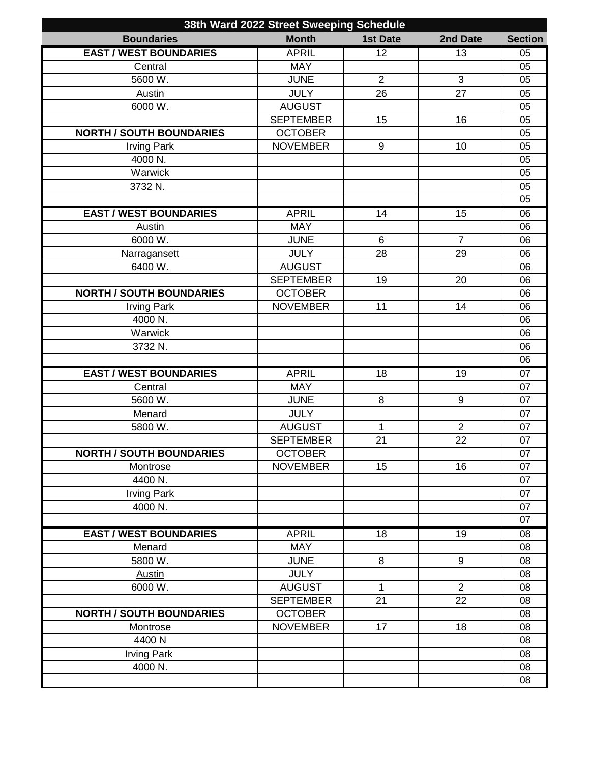| 38th Ward 2022 Street Sweeping Schedule |                  |                  |                |                 |
|-----------------------------------------|------------------|------------------|----------------|-----------------|
| <b>Boundaries</b>                       | <b>Month</b>     | <b>1st Date</b>  | 2nd Date       | <b>Section</b>  |
| <b>EAST / WEST BOUNDARIES</b>           | <b>APRIL</b>     | 12               | 13             | 05              |
| Central                                 | <b>MAY</b>       |                  |                | 05              |
| 5600 W.                                 | <b>JUNE</b>      | $\overline{2}$   | $\mathfrak{S}$ | 05              |
| Austin                                  | <b>JULY</b>      | 26               | 27             | 05              |
| 6000 W.                                 | <b>AUGUST</b>    |                  |                | 05              |
|                                         | <b>SEPTEMBER</b> | 15               | 16             | 05              |
| <b>NORTH / SOUTH BOUNDARIES</b>         | <b>OCTOBER</b>   |                  |                | 05              |
| <b>Irving Park</b>                      | <b>NOVEMBER</b>  | $\boldsymbol{9}$ | 10             | 05              |
| 4000 N.                                 |                  |                  |                | 05              |
| Warwick                                 |                  |                  |                | 05              |
| 3732 N.                                 |                  |                  |                | 05              |
|                                         |                  |                  |                | 05              |
| <b>EAST / WEST BOUNDARIES</b>           | <b>APRIL</b>     | 14               | 15             | 06              |
| Austin                                  | <b>MAY</b>       |                  |                | 06              |
| 6000 W.                                 | <b>JUNE</b>      | 6                | $\overline{7}$ | 06              |
| Narragansett                            | <b>JULY</b>      | 28               | 29             | 06              |
| 6400 W.                                 | <b>AUGUST</b>    |                  |                | 06              |
|                                         | <b>SEPTEMBER</b> | 19               | 20             | 06              |
| <b>NORTH / SOUTH BOUNDARIES</b>         | <b>OCTOBER</b>   |                  |                | 06              |
| <b>Irving Park</b>                      | <b>NOVEMBER</b>  | 11               | 14             | 06              |
| 4000 N.                                 |                  |                  |                | 06              |
| Warwick                                 |                  |                  |                | 06              |
| 3732 N.                                 |                  |                  |                | 06              |
|                                         |                  |                  |                | 06              |
| <b>EAST / WEST BOUNDARIES</b>           | <b>APRIL</b>     | 18               | 19             | 07              |
| Central                                 | <b>MAY</b>       |                  |                | $\overline{07}$ |
| 5600 W.                                 | <b>JUNE</b>      | 8                | 9              | 07              |
| Menard                                  | <b>JULY</b>      |                  |                | 07              |
| 5800 W.                                 | <b>AUGUST</b>    | 1                | $\overline{2}$ | 07              |
|                                         | <b>SEPTEMBER</b> | 21               | 22             | 07              |
| <b>NORTH / SOUTH BOUNDARIES</b>         | <b>OCTOBER</b>   |                  |                | 07              |
| Montrose                                | <b>NOVEMBER</b>  | 15               | 16             | 07              |
| 4400 N.                                 |                  |                  |                | 07              |
| <b>Irving Park</b>                      |                  |                  |                | 07              |
| 4000 N.                                 |                  |                  |                | 07              |
|                                         |                  |                  |                | 07              |
| <b>EAST / WEST BOUNDARIES</b>           | <b>APRIL</b>     | 18               | 19             | 08              |
| Menard                                  | <b>MAY</b>       |                  |                | 08              |
| 5800 W.                                 | <b>JUNE</b>      | 8                | 9              | 08              |
| <b>Austin</b>                           | <b>JULY</b>      |                  |                | 08              |
| 6000 W.                                 | <b>AUGUST</b>    | $\mathbf{1}$     | $\overline{2}$ | 08              |
|                                         | <b>SEPTEMBER</b> | 21               | 22             | 08              |
| <b>NORTH / SOUTH BOUNDARIES</b>         | <b>OCTOBER</b>   |                  |                | 08              |
| Montrose                                | <b>NOVEMBER</b>  | 17               | 18             | 08              |
| 4400N                                   |                  |                  |                | 08              |
| <b>Irving Park</b>                      |                  |                  |                | 08              |
|                                         |                  |                  |                |                 |
| 4000 N.                                 |                  |                  |                | 08              |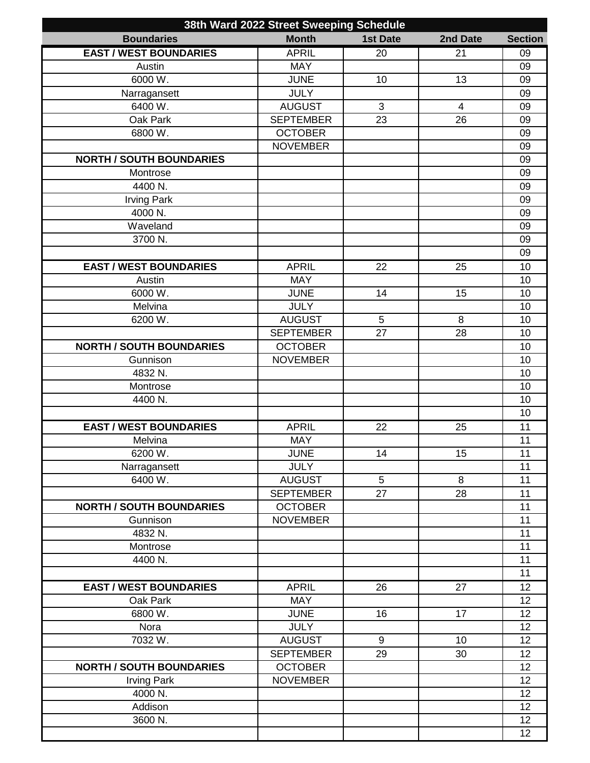| 38th Ward 2022 Street Sweeping Schedule |                  |                 |                |                |
|-----------------------------------------|------------------|-----------------|----------------|----------------|
| <b>Boundaries</b>                       | <b>Month</b>     | <b>1st Date</b> | 2nd Date       | <b>Section</b> |
| <b>EAST / WEST BOUNDARIES</b>           | <b>APRIL</b>     | 20              | 21             | 09             |
| Austin                                  | <b>MAY</b>       |                 |                | 09             |
| 6000 W.                                 | <b>JUNE</b>      | 10              | 13             | 09             |
| Narragansett                            | <b>JULY</b>      |                 |                | 09             |
| 6400 W.                                 | <b>AUGUST</b>    | 3               | $\overline{4}$ | 09             |
| <b>Oak Park</b>                         | <b>SEPTEMBER</b> | 23              | 26             | 09             |
| 6800 W.                                 | <b>OCTOBER</b>   |                 |                | 09             |
|                                         | <b>NOVEMBER</b>  |                 |                | 09             |
| <b>NORTH / SOUTH BOUNDARIES</b>         |                  |                 |                | 09             |
| Montrose                                |                  |                 |                | 09             |
| 4400 N.                                 |                  |                 |                | 09             |
| <b>Irving Park</b>                      |                  |                 |                | 09             |
| 4000 N.                                 |                  |                 |                | 09             |
|                                         |                  |                 |                |                |
| Waveland                                |                  |                 |                | 09             |
| 3700 N.                                 |                  |                 |                | 09             |
|                                         |                  |                 |                | 09             |
| <b>EAST / WEST BOUNDARIES</b>           | <b>APRIL</b>     | 22              | 25             | 10             |
| Austin                                  | <b>MAY</b>       |                 |                | 10             |
| 6000 W.                                 | <b>JUNE</b>      | 14              | 15             | 10             |
| Melvina                                 | <b>JULY</b>      |                 |                | 10             |
| 6200 W.                                 | <b>AUGUST</b>    | 5               | 8              | 10             |
|                                         | <b>SEPTEMBER</b> | 27              | 28             | 10             |
| <b>NORTH / SOUTH BOUNDARIES</b>         | <b>OCTOBER</b>   |                 |                | 10             |
| Gunnison                                | <b>NOVEMBER</b>  |                 |                | 10             |
| 4832 N.                                 |                  |                 |                | 10             |
| Montrose                                |                  |                 |                | 10             |
| 4400 N.                                 |                  |                 |                | 10             |
|                                         |                  |                 |                | 10             |
| <b>EAST / WEST BOUNDARIES</b>           | <b>APRIL</b>     | 22              | 25             | 11             |
| Melvina                                 | <b>MAY</b>       |                 |                | 11             |
| 6200 W.                                 | <b>JUNE</b>      | 14              | 15             | 11             |
| Narragansett                            | <b>JULY</b>      |                 |                | 11             |
| 6400 W.                                 | <b>AUGUST</b>    | 5               | 8              | 11             |
|                                         | <b>SEPTEMBER</b> | 27              | 28             | 11             |
| <b>NORTH / SOUTH BOUNDARIES</b>         | <b>OCTOBER</b>   |                 |                | 11             |
| Gunnison                                | <b>NOVEMBER</b>  |                 |                | 11             |
| 4832 N.                                 |                  |                 |                | 11             |
| Montrose                                |                  |                 |                | 11             |
|                                         |                  |                 |                | 11             |
| 4400 N.                                 |                  |                 |                |                |
|                                         |                  |                 |                | 11             |
| <b>EAST / WEST BOUNDARIES</b>           | <b>APRIL</b>     | 26              | 27             | 12             |
| Oak Park                                | <b>MAY</b>       |                 |                | 12             |
| 6800 W.                                 | <b>JUNE</b>      | 16              | 17             | 12             |
| Nora                                    | <b>JULY</b>      |                 |                | 12             |
| 7032 W.                                 | <b>AUGUST</b>    | 9               | 10             | 12             |
|                                         | <b>SEPTEMBER</b> | 29              | 30             | 12             |
| <b>NORTH / SOUTH BOUNDARIES</b>         | <b>OCTOBER</b>   |                 |                | 12             |
| <b>Irving Park</b>                      | <b>NOVEMBER</b>  |                 |                | 12             |
| 4000 N.                                 |                  |                 |                | 12             |
| Addison                                 |                  |                 |                | 12             |
| 3600 N.                                 |                  |                 |                | 12             |
|                                         |                  |                 |                | 12             |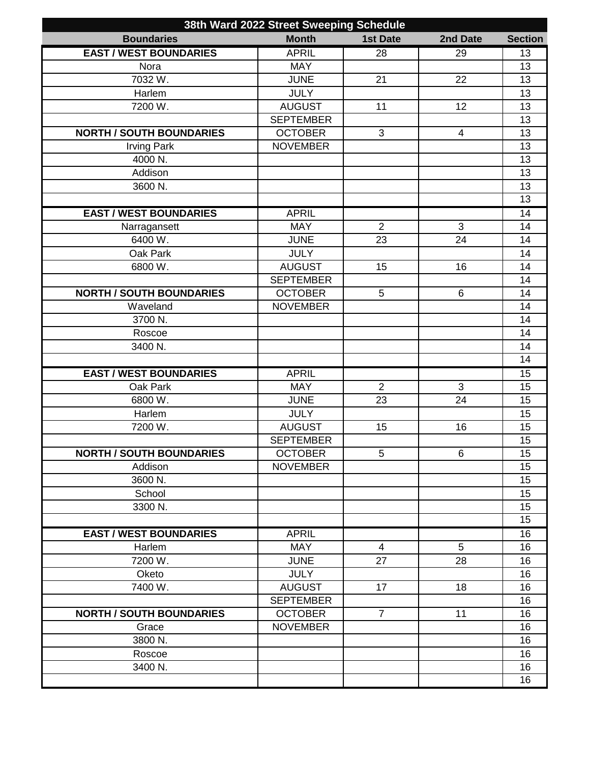| 38th Ward 2022 Street Sweeping Schedule |                  |                 |                |                 |
|-----------------------------------------|------------------|-----------------|----------------|-----------------|
| <b>Boundaries</b>                       | <b>Month</b>     | <b>1st Date</b> | 2nd Date       | <b>Section</b>  |
| <b>EAST / WEST BOUNDARIES</b>           | <b>APRIL</b>     | $\overline{28}$ | 29             | 13              |
| Nora                                    | <b>MAY</b>       |                 |                | 13              |
| 7032W.                                  | <b>JUNE</b>      | 21              | 22             | 13              |
| Harlem                                  | <b>JULY</b>      |                 |                | 13              |
| 7200 W.                                 | <b>AUGUST</b>    | 11              | 12             | 13              |
|                                         | <b>SEPTEMBER</b> |                 |                | 13              |
| <b>NORTH / SOUTH BOUNDARIES</b>         | <b>OCTOBER</b>   | 3               | 4              | 13              |
| <b>Irving Park</b>                      | <b>NOVEMBER</b>  |                 |                | 13              |
| 4000 N.                                 |                  |                 |                | 13              |
| Addison                                 |                  |                 |                | $\overline{13}$ |
| 3600 N.                                 |                  |                 |                | $\overline{13}$ |
|                                         |                  |                 |                | $\overline{13}$ |
| <b>EAST / WEST BOUNDARIES</b>           | <b>APRIL</b>     |                 |                | 14              |
| Narragansett                            | <b>MAY</b>       | $\overline{2}$  | 3              | 14              |
| 6400 W.                                 | <b>JUNE</b>      | 23              | 24             | 14              |
| Oak Park                                | <b>JULY</b>      |                 |                | 14              |
| 6800 W.                                 | <b>AUGUST</b>    | 15              | 16             | 14              |
|                                         | <b>SEPTEMBER</b> |                 |                | 14              |
| <b>NORTH / SOUTH BOUNDARIES</b>         | <b>OCTOBER</b>   | 5               | $6\phantom{1}$ | 14              |
| Waveland                                | <b>NOVEMBER</b>  |                 |                | 14              |
| 3700 N.                                 |                  |                 |                | 14              |
| Roscoe                                  |                  |                 |                | 14              |
| 3400 N.                                 |                  |                 |                | 14              |
|                                         |                  |                 |                | 14              |
| <b>EAST / WEST BOUNDARIES</b>           | <b>APRIL</b>     |                 |                | 15              |
| Oak Park                                | <b>MAY</b>       | $\overline{2}$  | $\overline{3}$ | $\overline{15}$ |
| 6800 W.                                 | <b>JUNE</b>      | 23              | 24             | 15              |
| Harlem                                  | <b>JULY</b>      |                 |                | 15              |
| 7200 W.                                 | <b>AUGUST</b>    | 15              | 16             | 15              |
|                                         | <b>SEPTEMBER</b> |                 |                | 15              |
| <b>NORTH / SOUTH BOUNDARIES</b>         | <b>OCTOBER</b>   | $\overline{5}$  | $\overline{6}$ | 15              |
| Addison                                 | <b>NOVEMBER</b>  |                 |                | 15              |
| 3600 N.                                 |                  |                 |                | 15              |
| School                                  |                  |                 |                | 15              |
| 3300 N.                                 |                  |                 |                | 15              |
|                                         |                  |                 |                | 15              |
| <b>EAST / WEST BOUNDARIES</b>           | <b>APRIL</b>     |                 |                | 16              |
| Harlem                                  | <b>MAY</b>       | 4               | 5              | 16              |
| 7200 W.                                 | <b>JUNE</b>      | 27              | 28             | 16              |
| Oketo                                   | <b>JULY</b>      |                 |                | 16              |
| 7400 W.                                 | <b>AUGUST</b>    | 17              | 18             | 16              |
|                                         | <b>SEPTEMBER</b> |                 |                | 16              |
| <b>NORTH / SOUTH BOUNDARIES</b>         | <b>OCTOBER</b>   | $\overline{7}$  | 11             | 16              |
| Grace                                   | <b>NOVEMBER</b>  |                 |                | 16              |
| 3800 N.                                 |                  |                 |                | 16              |
| Roscoe                                  |                  |                 |                | 16              |
| 3400 N.                                 |                  |                 |                | 16              |
|                                         |                  |                 |                | 16              |
|                                         |                  |                 |                |                 |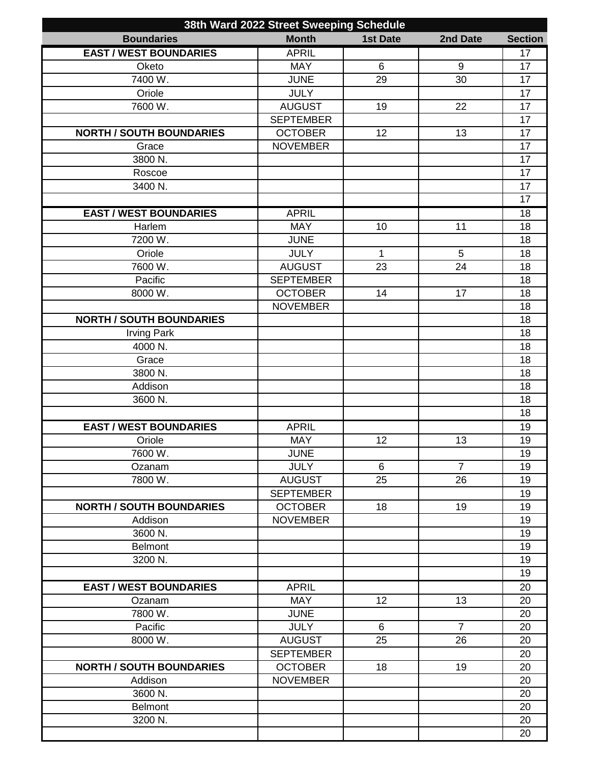| 38th Ward 2022 Street Sweeping Schedule |                  |                 |                 |                 |
|-----------------------------------------|------------------|-----------------|-----------------|-----------------|
| <b>Boundaries</b>                       | <b>Month</b>     | <b>1st Date</b> | 2nd Date        | <b>Section</b>  |
| <b>EAST / WEST BOUNDARIES</b>           | <b>APRIL</b>     |                 |                 | 17              |
| Oketo                                   | <b>MAY</b>       | 6               | 9               | 17              |
| 7400 W.                                 | <b>JUNE</b>      | 29              | 30              | 17              |
| Oriole                                  | <b>JULY</b>      |                 |                 | 17              |
| 7600 W.                                 | <b>AUGUST</b>    | 19              | 22              | 17              |
|                                         | <b>SEPTEMBER</b> |                 |                 | 17              |
| <b>NORTH / SOUTH BOUNDARIES</b>         | <b>OCTOBER</b>   | 12              | 13              | 17              |
| Grace                                   | <b>NOVEMBER</b>  |                 |                 | 17              |
| 3800 N.                                 |                  |                 |                 | 17              |
| Roscoe                                  |                  |                 |                 | $\overline{17}$ |
| 3400 N.                                 |                  |                 |                 | 17              |
|                                         |                  |                 |                 | 17              |
| <b>EAST / WEST BOUNDARIES</b>           | <b>APRIL</b>     |                 |                 | 18              |
|                                         |                  |                 |                 |                 |
| Harlem                                  | <b>MAY</b>       | 10              | 11              | 18              |
| 7200 W.                                 | <b>JUNE</b>      |                 |                 | 18              |
| Oriole                                  | <b>JULY</b>      | $\mathbf{1}$    | 5               | 18              |
| 7600 W.                                 | <b>AUGUST</b>    | 23              | $\overline{24}$ | 18              |
| Pacific                                 | <b>SEPTEMBER</b> |                 |                 | 18              |
| 8000 W.                                 | <b>OCTOBER</b>   | 14              | 17              | 18              |
|                                         | <b>NOVEMBER</b>  |                 |                 | 18              |
| <b>NORTH / SOUTH BOUNDARIES</b>         |                  |                 |                 | 18              |
| <b>Irving Park</b>                      |                  |                 |                 | 18              |
| 4000 N.                                 |                  |                 |                 | 18              |
| Grace                                   |                  |                 |                 | 18              |
| 3800 N.                                 |                  |                 |                 | 18              |
| Addison                                 |                  |                 |                 | 18              |
| 3600 N.                                 |                  |                 |                 | 18              |
|                                         |                  |                 |                 | 18              |
| <b>EAST / WEST BOUNDARIES</b>           | <b>APRIL</b>     |                 |                 | 19              |
| Oriole                                  | <b>MAY</b>       | 12              | 13              | 19              |
| 7600 W.                                 | <b>JUNE</b>      |                 |                 | 19              |
| Ozanam                                  | <b>JULY</b>      | 6               | $\overline{7}$  | 19              |
| 7800 W.                                 | <b>AUGUST</b>    | 25              | 26              | 19              |
|                                         | <b>SEPTEMBER</b> |                 |                 | 19              |
| <b>NORTH / SOUTH BOUNDARIES</b>         | <b>OCTOBER</b>   | 18              | 19              | 19              |
| Addison                                 | <b>NOVEMBER</b>  |                 |                 | 19              |
| 3600 N.                                 |                  |                 |                 | 19              |
| <b>Belmont</b>                          |                  |                 |                 | 19              |
| 3200 N.                                 |                  |                 |                 | 19              |
|                                         |                  |                 |                 | 19              |
|                                         |                  |                 |                 |                 |
| <b>EAST / WEST BOUNDARIES</b>           | <b>APRIL</b>     |                 |                 | 20              |
| Ozanam                                  | <b>MAY</b>       | 12              | 13              | 20              |
| 7800 W.                                 | <b>JUNE</b>      |                 |                 | 20              |
| Pacific                                 | <b>JULY</b>      | 6               | $\overline{7}$  | 20              |
| 8000 W.                                 | <b>AUGUST</b>    | 25              | 26              | 20              |
|                                         | <b>SEPTEMBER</b> |                 |                 | 20              |
| <b>NORTH / SOUTH BOUNDARIES</b>         | <b>OCTOBER</b>   | 18              | 19              | 20              |
| Addison                                 | <b>NOVEMBER</b>  |                 |                 | 20              |
| 3600 N.                                 |                  |                 |                 | 20              |
| <b>Belmont</b>                          |                  |                 |                 | 20              |
| 3200 N.                                 |                  |                 |                 | 20              |
|                                         |                  |                 |                 | 20              |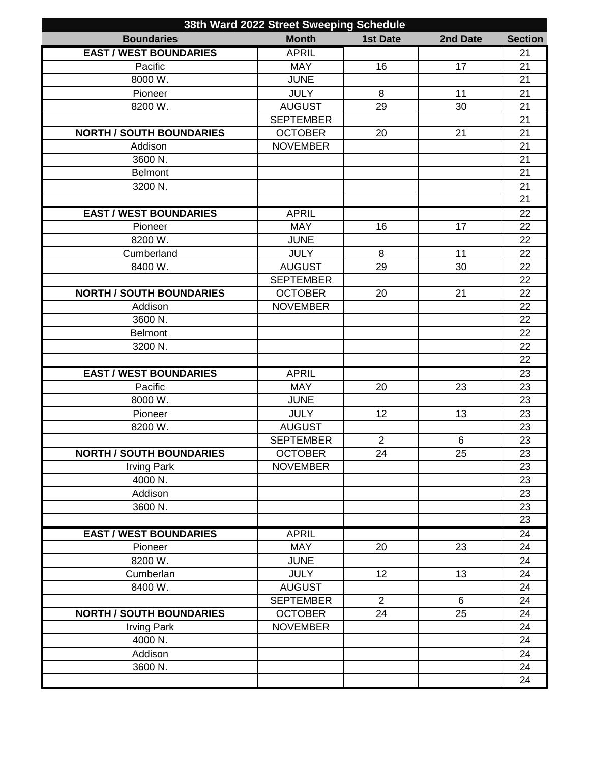| 38th Ward 2022 Street Sweeping Schedule |                  |                 |          |                 |
|-----------------------------------------|------------------|-----------------|----------|-----------------|
| <b>Boundaries</b>                       | <b>Month</b>     | <b>1st Date</b> | 2nd Date | <b>Section</b>  |
| <b>EAST / WEST BOUNDARIES</b>           | <b>APRIL</b>     |                 |          | 21              |
| Pacific                                 | <b>MAY</b>       | 16              | 17       | 21              |
| 8000 W.                                 | <b>JUNE</b>      |                 |          | 21              |
| Pioneer                                 | <b>JULY</b>      | 8               | 11       | 21              |
| 8200 W.                                 | <b>AUGUST</b>    | 29              | 30       | 21              |
|                                         | <b>SEPTEMBER</b> |                 |          | 21              |
| <b>NORTH / SOUTH BOUNDARIES</b>         | <b>OCTOBER</b>   | 20              | 21       | 21              |
| Addison                                 | <b>NOVEMBER</b>  |                 |          | 21              |
| 3600 N.                                 |                  |                 |          | 21              |
| Belmont                                 |                  |                 |          | 21              |
| 3200 N.                                 |                  |                 |          | 21              |
|                                         |                  |                 |          | 21              |
| <b>EAST / WEST BOUNDARIES</b>           | <b>APRIL</b>     |                 |          | 22              |
| Pioneer                                 | <b>MAY</b>       | 16              | 17       | 22              |
| 8200 W.                                 | <b>JUNE</b>      |                 |          | 22              |
| Cumberland                              | <b>JULY</b>      | 8               | 11       | 22              |
| 8400 W.                                 | <b>AUGUST</b>    | 29              | 30       | 22              |
|                                         | <b>SEPTEMBER</b> |                 |          | 22              |
| <b>NORTH / SOUTH BOUNDARIES</b>         | <b>OCTOBER</b>   | 20              | 21       | 22              |
| Addison                                 | <b>NOVEMBER</b>  |                 |          | 22              |
| 3600 N.                                 |                  |                 |          | 22              |
| <b>Belmont</b>                          |                  |                 |          | 22              |
| 3200 N.                                 |                  |                 |          | 22              |
|                                         |                  |                 |          | 22              |
| <b>EAST / WEST BOUNDARIES</b>           | <b>APRIL</b>     |                 |          | 23              |
| Pacific                                 | <b>MAY</b>       | 20              | 23       | 23              |
| 8000 W.                                 | <b>JUNE</b>      |                 |          | 23              |
| Pioneer                                 | <b>JULY</b>      | 12              | 13       | 23              |
| 8200 W.                                 | <b>AUGUST</b>    |                 |          | 23              |
|                                         | <b>SEPTEMBER</b> | $\overline{2}$  | 6        | 23              |
| <b>NORTH / SOUTH BOUNDARIES</b>         | <b>OCTOBER</b>   | 24              | 25       | $\overline{23}$ |
| <b>Irving Park</b>                      | <b>NOVEMBER</b>  |                 |          | 23              |
| 4000 N.                                 |                  |                 |          | 23              |
| Addison                                 |                  |                 |          | 23              |
| 3600 N.                                 |                  |                 |          | 23              |
|                                         |                  |                 |          | 23              |
| <b>EAST / WEST BOUNDARIES</b>           | <b>APRIL</b>     |                 |          | 24              |
| Pioneer                                 | <b>MAY</b>       | 20              | 23       | 24              |
| 8200 W.                                 | <b>JUNE</b>      |                 |          | 24              |
| Cumberlan                               | <b>JULY</b>      | 12              | 13       | 24              |
| 8400 W.                                 | <b>AUGUST</b>    |                 |          | 24              |
|                                         | <b>SEPTEMBER</b> | 2               | 6        | 24              |
| <b>NORTH / SOUTH BOUNDARIES</b>         | <b>OCTOBER</b>   | 24              | 25       | 24              |
| <b>Irving Park</b>                      | <b>NOVEMBER</b>  |                 |          | 24              |
| 4000 N.                                 |                  |                 |          | 24              |
| Addison                                 |                  |                 |          | 24              |
| 3600 N.                                 |                  |                 |          | 24              |
|                                         |                  |                 |          | 24              |
|                                         |                  |                 |          |                 |